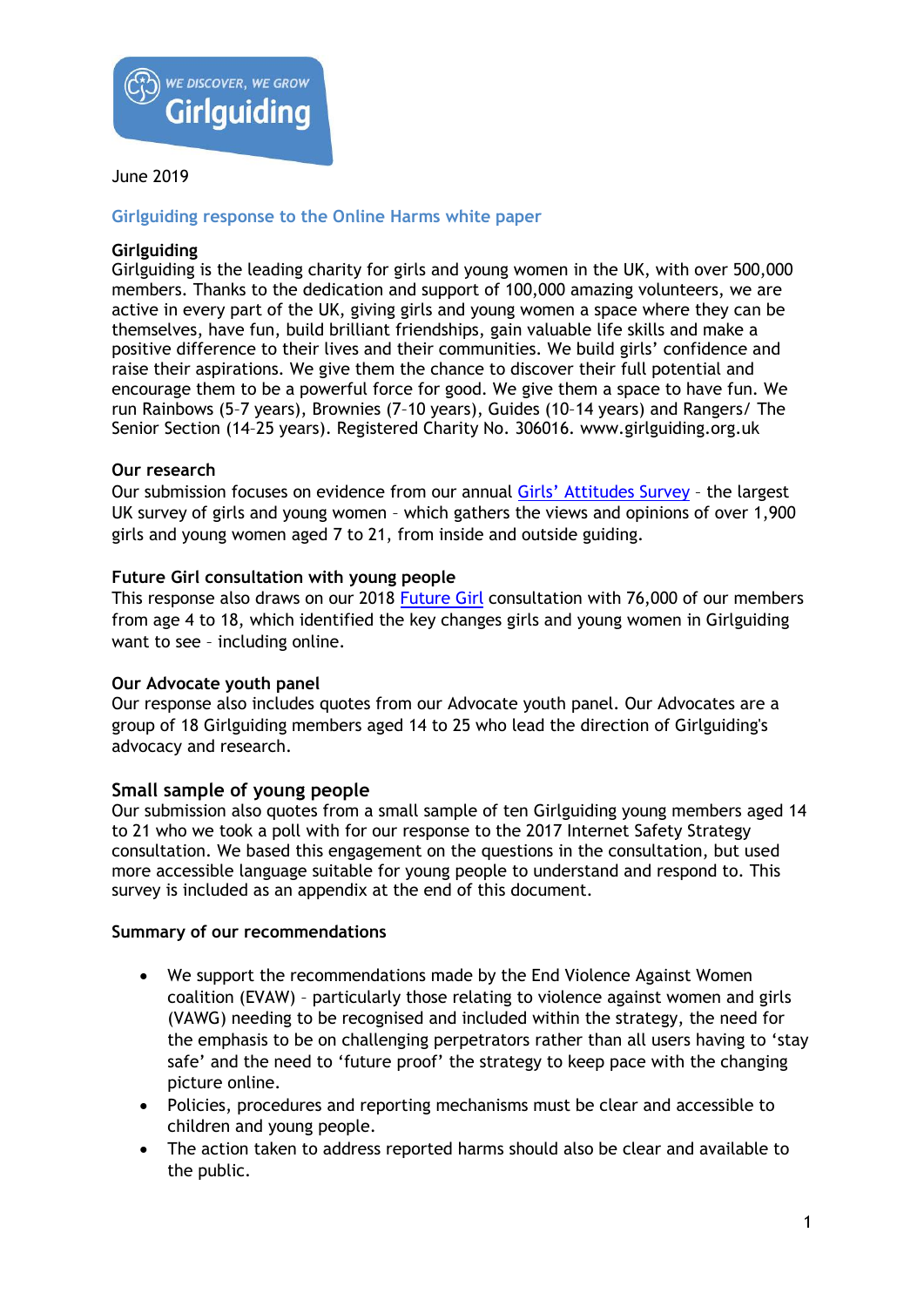

### **Girlguiding response to the Online Harms white paper**

### **Girlguiding**

Girlguiding is the leading charity for girls and young women in the UK, with over 500,000 members. Thanks to the dedication and support of 100,000 amazing volunteers, we are active in every part of the UK, giving girls and young women a space where they can be themselves, have fun, build brilliant friendships, gain valuable life skills and make a positive difference to their lives and their communities. We build girls' confidence and raise their aspirations. We give them the chance to discover their full potential and encourage them to be a powerful force for good. We give them a space to have fun. We run Rainbows (5–7 years), Brownies (7–10 years), Guides (10–14 years) and Rangers/ The Senior Section (14–25 years). Registered Charity No. 306016. www.girlguiding.org.uk

### **Our research**

Our submission focuses on evidence from our annual [Girls' Attitudes Survey](https://www.girlguiding.org.uk/girls-making-change/girls-attitudes-survey/) - the largest UK survey of girls and young women – which gathers the views and opinions of over 1,900 girls and young women aged 7 to 21, from inside and outside guiding.

### **Future Girl consultation with young people**

This response also draws on our 2018 [Future Girl](https://www.girlguiding.org.uk/girls-making-change/future-girl/) consultation with 76,000 of our members from age 4 to 18, which identified the key changes girls and young women in Girlguiding want to see – including online.

#### **Our Advocate youth panel**

Our response also includes quotes from our Advocate youth panel. Our Advocates are a group of 18 Girlguiding members aged 14 to 25 who lead the direction of Girlguiding's advocacy and research.

## **Small sample of young people**

Our submission also quotes from a small sample of ten Girlguiding young members aged 14 to 21 who we took a poll with for our response to the 2017 Internet Safety Strategy consultation. We based this engagement on the questions in the consultation, but used more accessible language suitable for young people to understand and respond to. This survey is included as an appendix at the end of this document.

#### **Summary of our recommendations**

- We support the recommendations made by the End Violence Against Women coalition (EVAW) – particularly those relating to violence against women and girls (VAWG) needing to be recognised and included within the strategy, the need for the emphasis to be on challenging perpetrators rather than all users having to 'stay safe' and the need to 'future proof' the strategy to keep pace with the changing picture online.
- Policies, procedures and reporting mechanisms must be clear and accessible to children and young people.
- The action taken to address reported harms should also be clear and available to the public.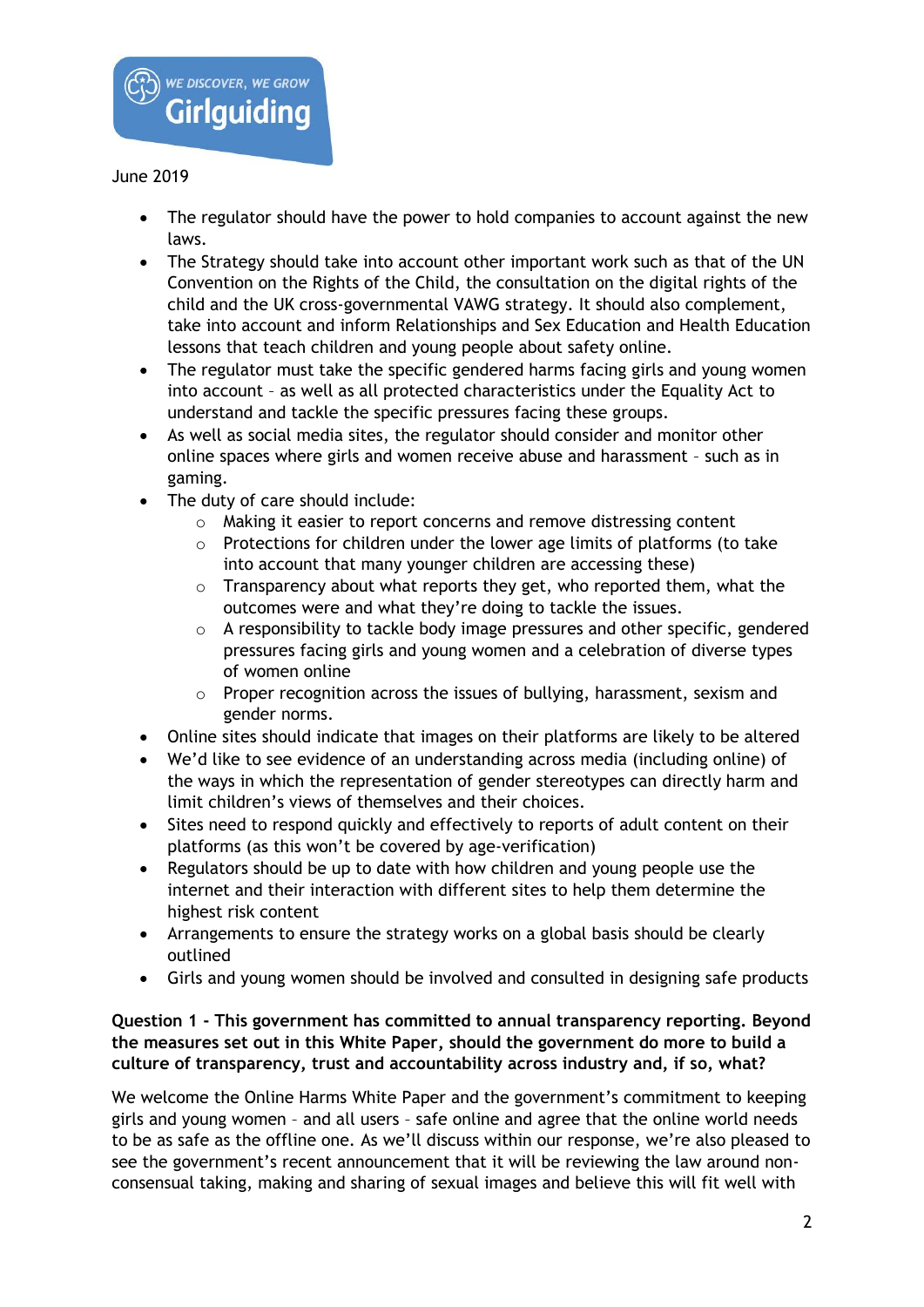

- The regulator should have the power to hold companies to account against the new laws.
- The Strategy should take into account other important work such as that of the UN Convention on the Rights of the Child, the consultation on the digital rights of the child and the UK cross-governmental VAWG strategy. It should also complement, take into account and inform Relationships and Sex Education and Health Education lessons that teach children and young people about safety online.
- The regulator must take the specific gendered harms facing girls and young women into account – as well as all protected characteristics under the Equality Act to understand and tackle the specific pressures facing these groups.
- As well as social media sites, the regulator should consider and monitor other online spaces where girls and women receive abuse and harassment – such as in gaming.
- The duty of care should include:
	- o Making it easier to report concerns and remove distressing content
	- $\circ$  Protections for children under the lower age limits of platforms (to take into account that many younger children are accessing these)
	- o Transparency about what reports they get, who reported them, what the outcomes were and what they're doing to tackle the issues.
	- o A responsibility to tackle body image pressures and other specific, gendered pressures facing girls and young women and a celebration of diverse types of women online
	- o Proper recognition across the issues of bullying, harassment, sexism and gender norms.
- Online sites should indicate that images on their platforms are likely to be altered
- We'd like to see evidence of an understanding across media (including online) of the ways in which the representation of gender stereotypes can directly harm and limit children's views of themselves and their choices.
- Sites need to respond quickly and effectively to reports of adult content on their platforms (as this won't be covered by age-verification)
- Regulators should be up to date with how children and young people use the internet and their interaction with different sites to help them determine the highest risk content
- Arrangements to ensure the strategy works on a global basis should be clearly outlined
- Girls and young women should be involved and consulted in designing safe products

# **Question 1 - This government has committed to annual transparency reporting. Beyond the measures set out in this White Paper, should the government do more to build a culture of transparency, trust and accountability across industry and, if so, what?**

We welcome the Online Harms White Paper and the government's commitment to keeping girls and young women – and all users – safe online and agree that the online world needs to be as safe as the offline one. As we'll discuss within our response, we're also pleased to see the government's recent announcement that it will be reviewing the law around nonconsensual taking, making and sharing of sexual images and believe this will fit well with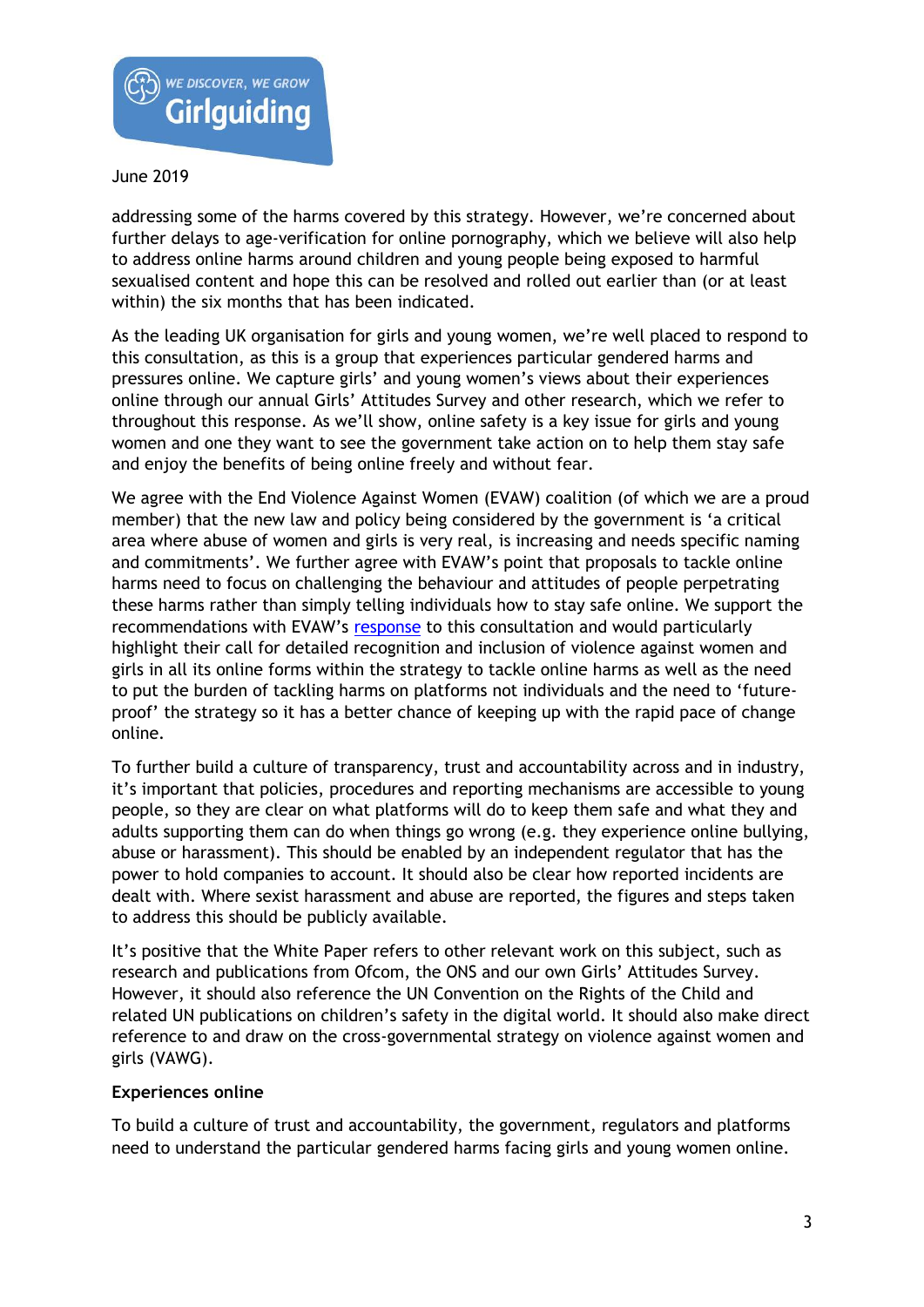

addressing some of the harms covered by this strategy. However, we're concerned about further delays to age-verification for online pornography, which we believe will also help to address online harms around children and young people being exposed to harmful sexualised content and hope this can be resolved and rolled out earlier than (or at least within) the six months that has been indicated.

As the leading UK organisation for girls and young women, we're well placed to respond to this consultation, as this is a group that experiences particular gendered harms and pressures online. We capture girls' and young women's views about their experiences online through our annual Girls' Attitudes Survey and other research, which we refer to throughout this response. As we'll show, online safety is a key issue for girls and young women and one they want to see the government take action on to help them stay safe and enjoy the benefits of being online freely and without fear.

We agree with the End Violence Against Women (EVAW) coalition (of which we are a proud member) that the new law and policy being considered by the government is 'a critical area where abuse of women and girls is very real, is increasing and needs specific naming and commitments'. We further agree with EVAW's point that proposals to tackle online harms need to focus on challenging the behaviour and attitudes of people perpetrating these harms rather than simply telling individuals how to stay safe online. We support the recommendations with EVAW's [response](https://www.endviolenceagainstwomen.org.uk/wp-content/uploads/Online-Harms-EVAW-Response.pdf) to this consultation and would particularly highlight their call for detailed recognition and inclusion of violence against women and girls in all its online forms within the strategy to tackle online harms as well as the need to put the burden of tackling harms on platforms not individuals and the need to 'futureproof' the strategy so it has a better chance of keeping up with the rapid pace of change online.

To further build a culture of transparency, trust and accountability across and in industry, it's important that policies, procedures and reporting mechanisms are accessible to young people, so they are clear on what platforms will do to keep them safe and what they and adults supporting them can do when things go wrong (e.g. they experience online bullying, abuse or harassment). This should be enabled by an independent regulator that has the power to hold companies to account. It should also be clear how reported incidents are dealt with. Where sexist harassment and abuse are reported, the figures and steps taken to address this should be publicly available.

It's positive that the White Paper refers to other relevant work on this subject, such as research and publications from Ofcom, the ONS and our own Girls' Attitudes Survey. However, it should also reference the UN Convention on the Rights of the Child and related UN publications on children's safety in the digital world. It should also make direct reference to and draw on the cross-governmental strategy on violence against women and girls (VAWG).

## **Experiences online**

To build a culture of trust and accountability, the government, regulators and platforms need to understand the particular gendered harms facing girls and young women online.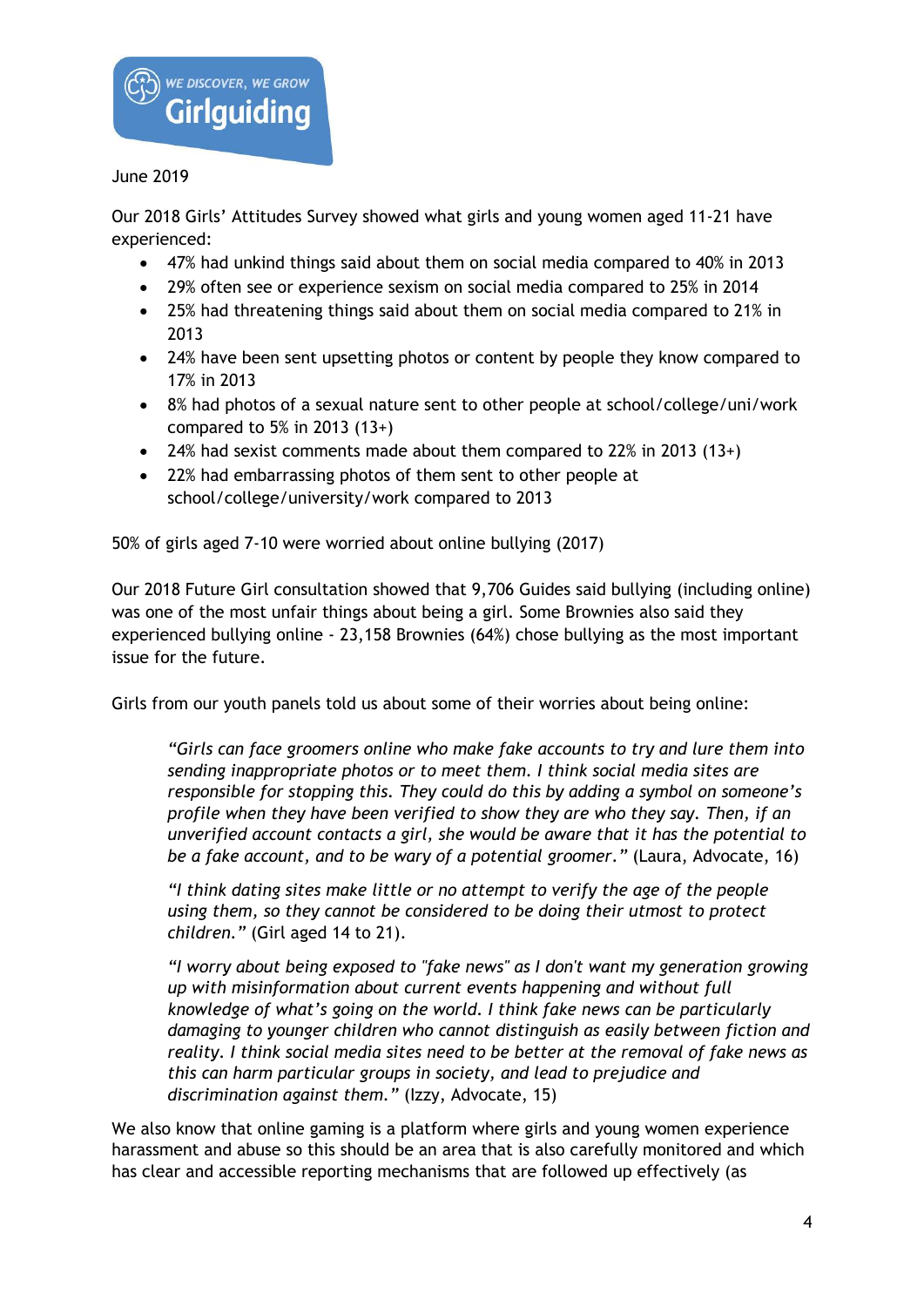

Our 2018 Girls' Attitudes Survey showed what girls and young women aged 11-21 have experienced:

- 47% had unkind things said about them on social media compared to 40% in 2013
- 29% often see or experience sexism on social media compared to 25% in 2014
- 25% had threatening things said about them on social media compared to 21% in 2013
- 24% have been sent upsetting photos or content by people they know compared to 17% in 2013
- 8% had photos of a sexual nature sent to other people at school/college/uni/work compared to 5% in 2013 (13+)
- 24% had sexist comments made about them compared to 22% in 2013 (13+)
- 22% had embarrassing photos of them sent to other people at school/college/university/work compared to 2013

50% of girls aged 7-10 were worried about online bullying (2017)

Our 2018 Future Girl consultation showed that 9,706 Guides said bullying (including online) was one of the most unfair things about being a girl. Some Brownies also said they experienced bullying online - 23,158 Brownies (64%) chose bullying as the most important issue for the future.

Girls from our youth panels told us about some of their worries about being online:

*"Girls can face groomers online who make fake accounts to try and lure them into sending inappropriate photos or to meet them. I think social media sites are responsible for stopping this. They could do this by adding a symbol on someone's profile when they have been verified to show they are who they say. Then, if an unverified account contacts a girl, she would be aware that it has the potential to be a fake account, and to be wary of a potential groomer."* (Laura, Advocate, 16)

*"I think dating sites make little or no attempt to verify the age of the people using them, so they cannot be considered to be doing their utmost to protect children."* (Girl aged 14 to 21).

*"I worry about being exposed to "fake news" as I don't want my generation growing up with misinformation about current events happening and without full knowledge of what's going on the world. I think fake news can be particularly damaging to younger children who cannot distinguish as easily between fiction and reality. I think social media sites need to be better at the removal of fake news as this can harm particular groups in society, and lead to prejudice and discrimination against them."* (Izzy, Advocate, 15)

We also know that online gaming is a platform where girls and young women experience harassment and abuse so this should be an area that is also carefully monitored and which has clear and accessible reporting mechanisms that are followed up effectively (as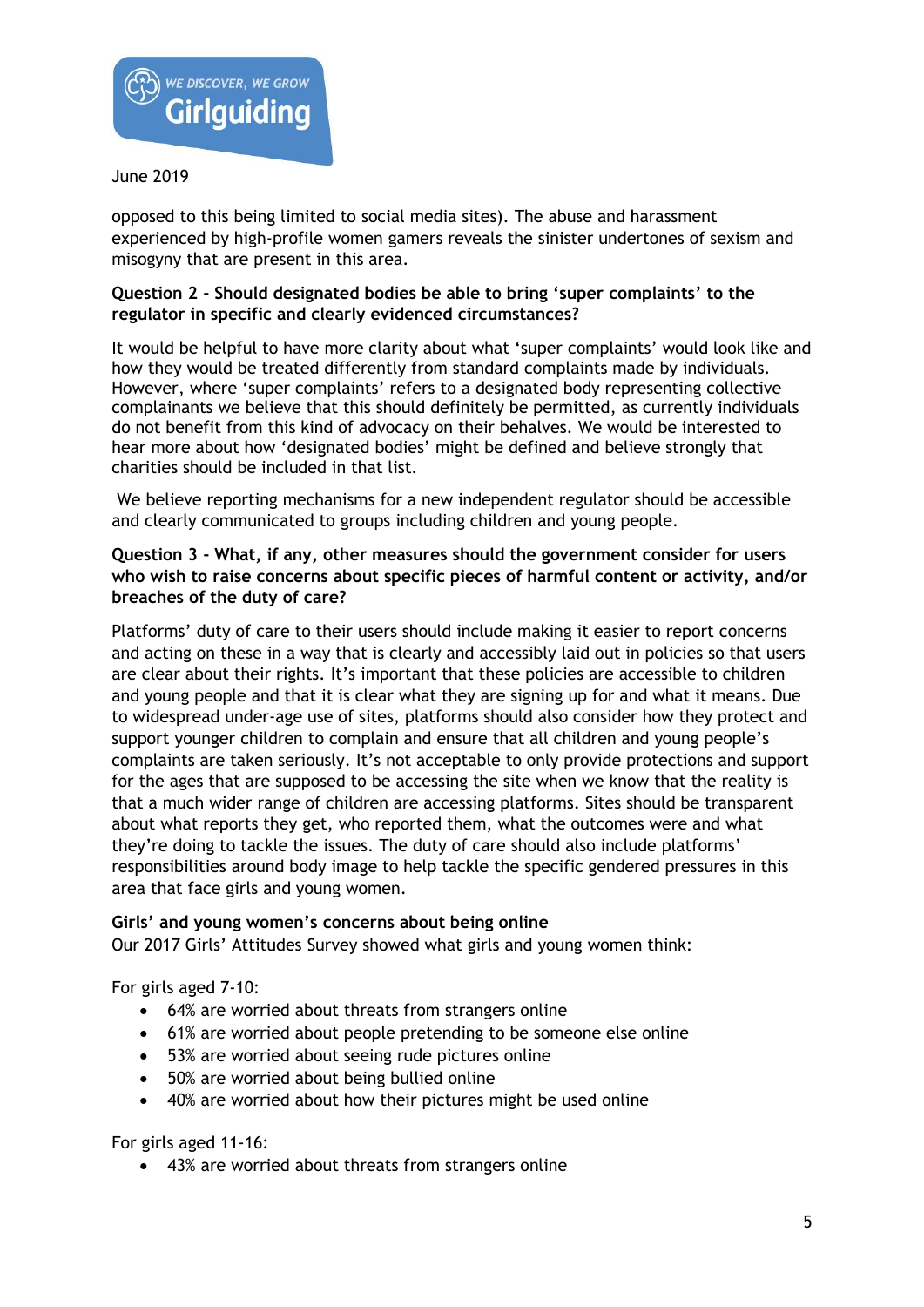

opposed to this being limited to social media sites). The abuse and harassment experienced by high-profile women gamers reveals the sinister undertones of sexism and misogyny that are present in this area.

# **Question 2 - Should designated bodies be able to bring 'super complaints' to the regulator in specific and clearly evidenced circumstances?**

It would be helpful to have more clarity about what 'super complaints' would look like and how they would be treated differently from standard complaints made by individuals. However, where 'super complaints' refers to a designated body representing collective complainants we believe that this should definitely be permitted, as currently individuals do not benefit from this kind of advocacy on their behalves. We would be interested to hear more about how 'designated bodies' might be defined and believe strongly that charities should be included in that list.

We believe reporting mechanisms for a new independent regulator should be accessible and clearly communicated to groups including children and young people.

# **Question 3 - What, if any, other measures should the government consider for users who wish to raise concerns about specific pieces of harmful content or activity, and/or breaches of the duty of care?**

Platforms' duty of care to their users should include making it easier to report concerns and acting on these in a way that is clearly and accessibly laid out in policies so that users are clear about their rights. It's important that these policies are accessible to children and young people and that it is clear what they are signing up for and what it means. Due to widespread under-age use of sites, platforms should also consider how they protect and support younger children to complain and ensure that all children and young people's complaints are taken seriously. It's not acceptable to only provide protections and support for the ages that are supposed to be accessing the site when we know that the reality is that a much wider range of children are accessing platforms. Sites should be transparent about what reports they get, who reported them, what the outcomes were and what they're doing to tackle the issues. The duty of care should also include platforms' responsibilities around body image to help tackle the specific gendered pressures in this area that face girls and young women.

## **Girls' and young women's concerns about being online**

Our 2017 Girls' Attitudes Survey showed what girls and young women think:

For girls aged 7-10:

- 64% are worried about threats from strangers online
- 61% are worried about people pretending to be someone else online
- 53% are worried about seeing rude pictures online
- 50% are worried about being bullied online
- 40% are worried about how their pictures might be used online

For girls aged 11-16:

• 43% are worried about threats from strangers online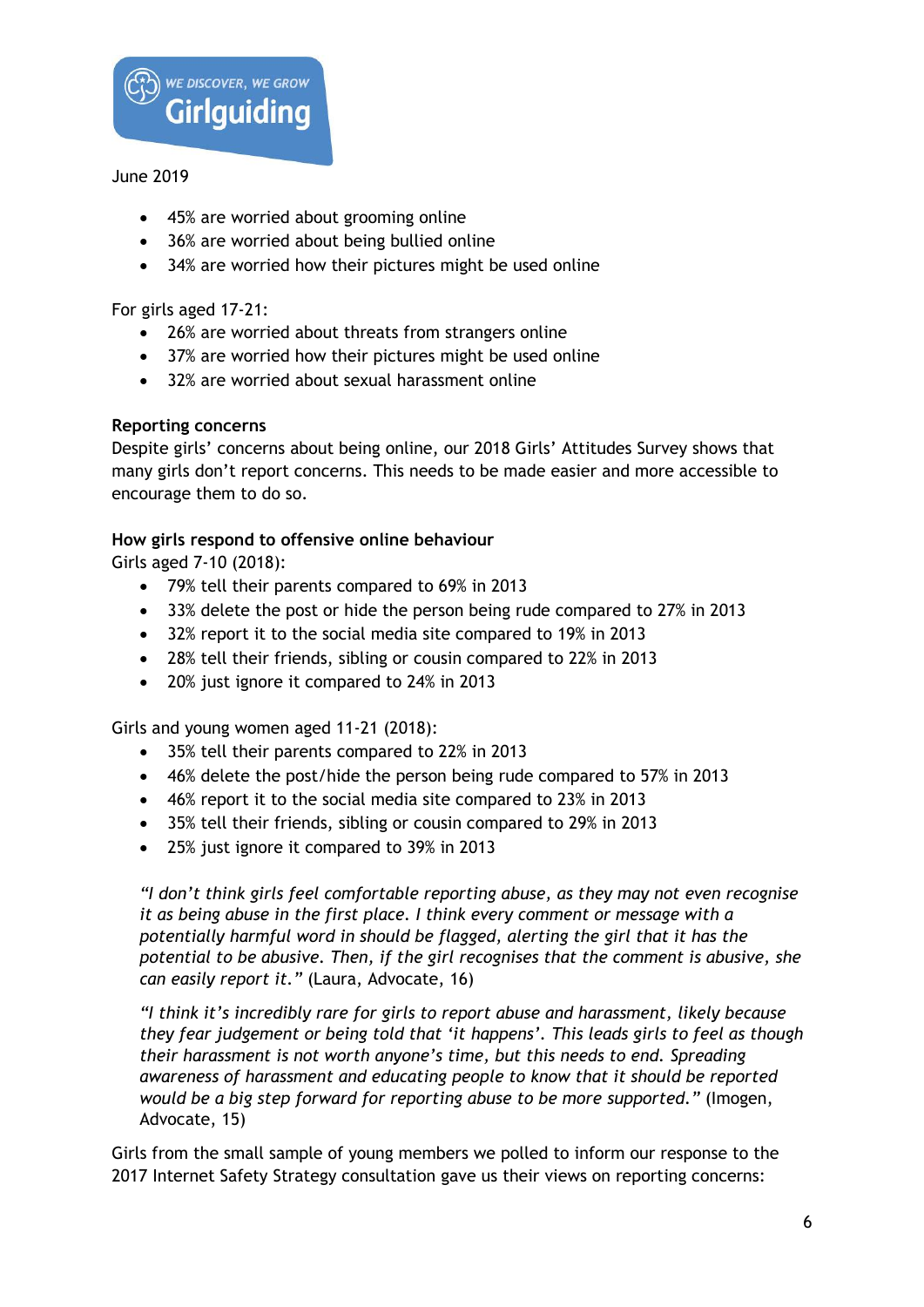

- 45% are worried about grooming online
- 36% are worried about being bullied online
- 34% are worried how their pictures might be used online

For girls aged 17-21:

- 26% are worried about threats from strangers online
- 37% are worried how their pictures might be used online
- 32% are worried about sexual harassment online

# **Reporting concerns**

Despite girls' concerns about being online, our 2018 Girls' Attitudes Survey shows that many girls don't report concerns. This needs to be made easier and more accessible to encourage them to do so.

# **How girls respond to offensive online behaviour**

Girls aged 7-10 (2018):

- 79% tell their parents compared to 69% in 2013
- 33% delete the post or hide the person being rude compared to 27% in 2013
- 32% report it to the social media site compared to 19% in 2013
- 28% tell their friends, sibling or cousin compared to 22% in 2013
- 20% just ignore it compared to 24% in 2013

Girls and young women aged 11-21 (2018):

- 35% tell their parents compared to 22% in 2013
- 46% delete the post/hide the person being rude compared to 57% in 2013
- 46% report it to the social media site compared to 23% in 2013
- 35% tell their friends, sibling or cousin compared to 29% in 2013
- 25% just ignore it compared to 39% in 2013

*"I don't think girls feel comfortable reporting abuse, as they may not even recognise it as being abuse in the first place. I think every comment or message with a potentially harmful word in should be flagged, alerting the girl that it has the potential to be abusive. Then, if the girl recognises that the comment is abusive, she can easily report it."* (Laura, Advocate, 16)

*"I think it's incredibly rare for girls to report abuse and harassment, likely because they fear judgement or being told that 'it happens'. This leads girls to feel as though their harassment is not worth anyone's time, but this needs to end. Spreading awareness of harassment and educating people to know that it should be reported would be a big step forward for reporting abuse to be more supported."* (Imogen, Advocate, 15)

Girls from the small sample of young members we polled to inform our response to the 2017 Internet Safety Strategy consultation gave us their views on reporting concerns: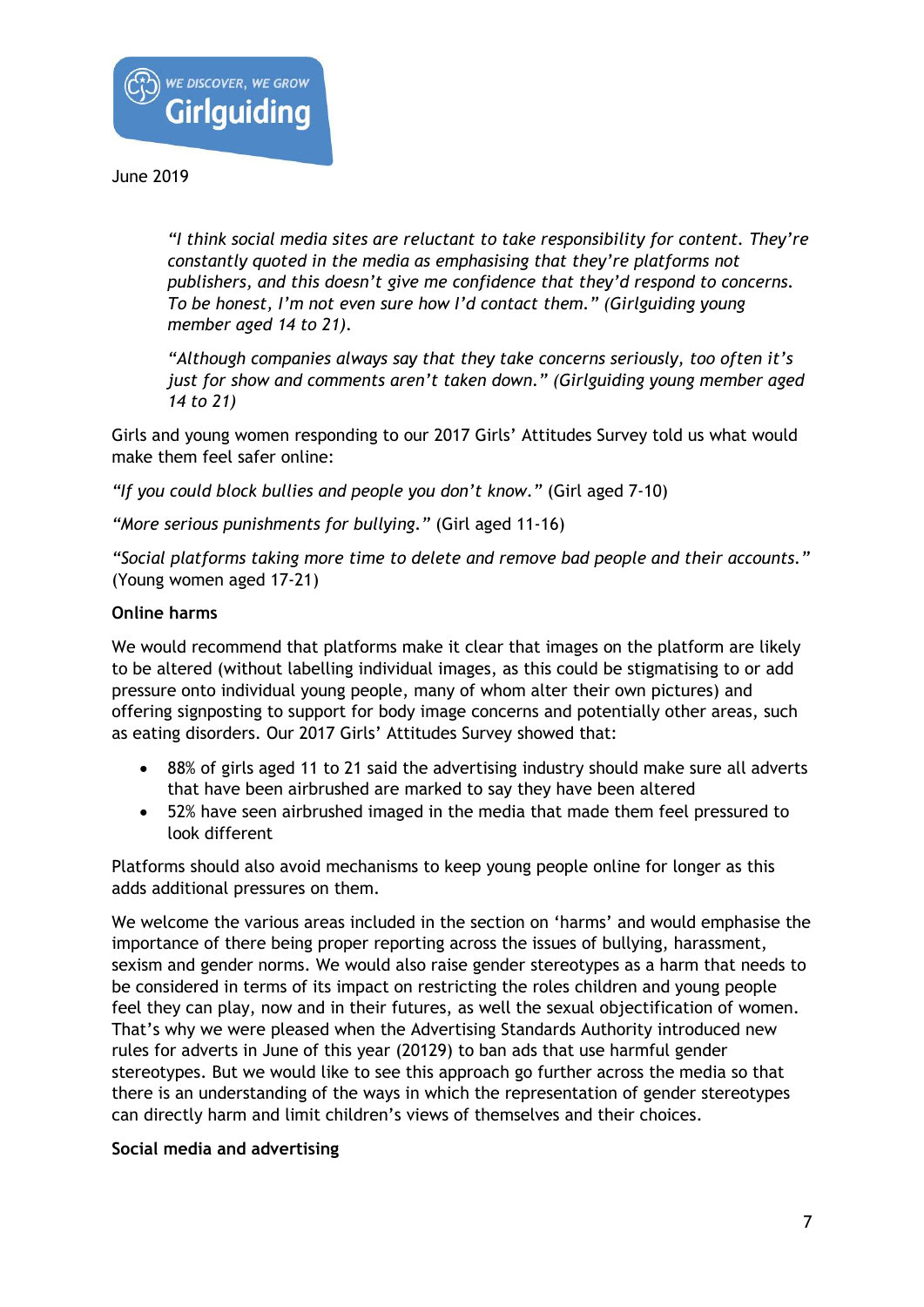

*"I think social media sites are reluctant to take responsibility for content. They're constantly quoted in the media as emphasising that they're platforms not publishers, and this doesn't give me confidence that they'd respond to concerns. To be honest, I'm not even sure how I'd contact them." (Girlguiding young member aged 14 to 21).*

*"Although companies always say that they take concerns seriously, too often it's just for show and comments aren't taken down." (Girlguiding young member aged 14 to 21)*

Girls and young women responding to our 2017 Girls' Attitudes Survey told us what would make them feel safer online:

*"If you could block bullies and people you don't know."* (Girl aged 7-10)

*"More serious punishments for bullying."* (Girl aged 11-16)

*"Social platforms taking more time to delete and remove bad people and their accounts."*  (Young women aged 17-21)

# **Online harms**

We would recommend that platforms make it clear that images on the platform are likely to be altered (without labelling individual images, as this could be stigmatising to or add pressure onto individual young people, many of whom alter their own pictures) and offering signposting to support for body image concerns and potentially other areas, such as eating disorders. Our 2017 Girls' Attitudes Survey showed that:

- 88% of girls aged 11 to 21 said the advertising industry should make sure all adverts that have been airbrushed are marked to say they have been altered
- 52% have seen airbrushed imaged in the media that made them feel pressured to look different

Platforms should also avoid mechanisms to keep young people online for longer as this adds additional pressures on them.

We welcome the various areas included in the section on 'harms' and would emphasise the importance of there being proper reporting across the issues of bullying, harassment, sexism and gender norms. We would also raise gender stereotypes as a harm that needs to be considered in terms of its impact on restricting the roles children and young people feel they can play, now and in their futures, as well the sexual objectification of women. That's why we were pleased when the Advertising Standards Authority introduced new rules for adverts in June of this year (20129) to ban ads that use harmful gender stereotypes. But we would like to see this approach go further across the media so that there is an understanding of the ways in which the representation of gender stereotypes can directly harm and limit children's views of themselves and their choices.

## **Social media and advertising**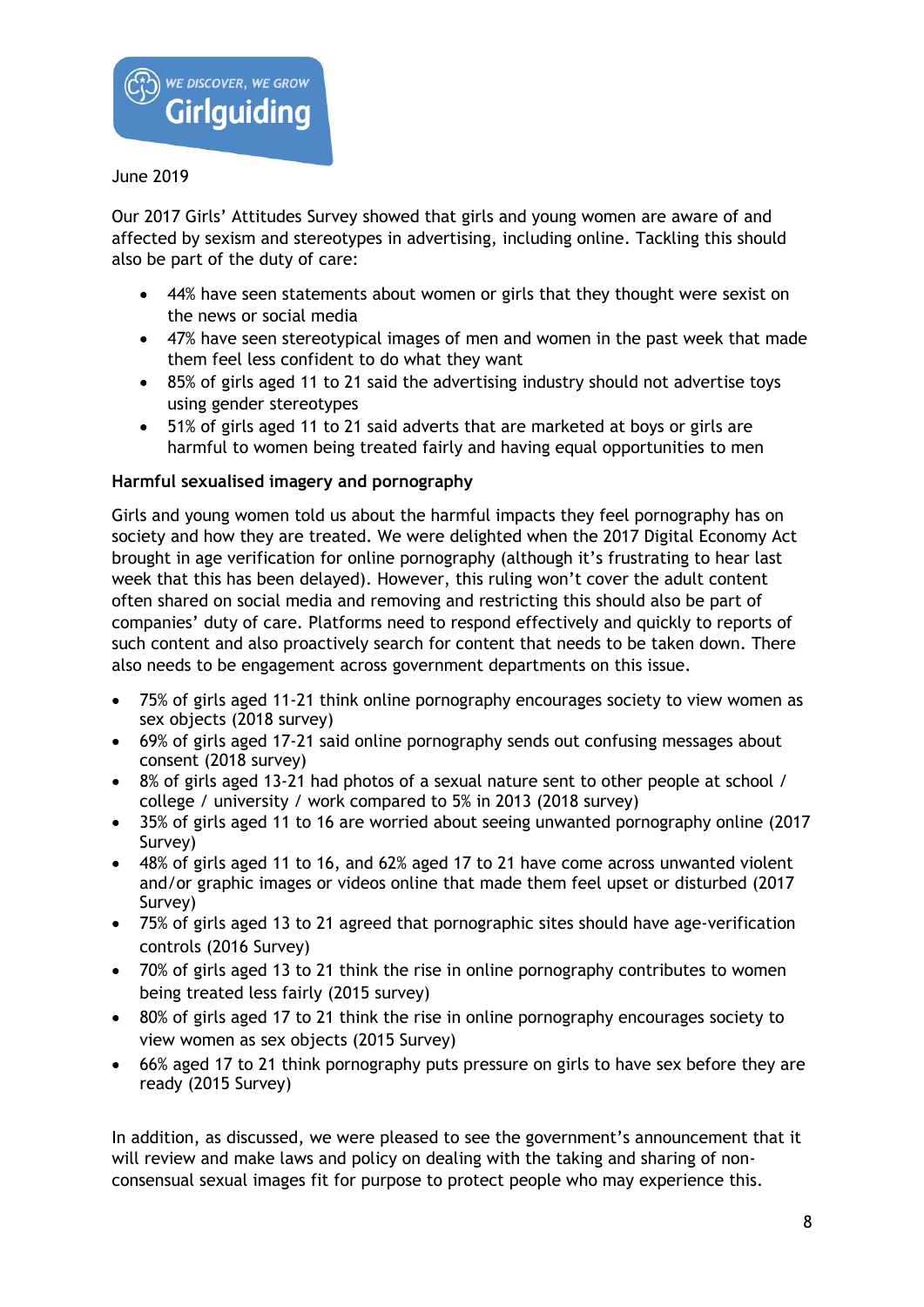

Our 2017 Girls' Attitudes Survey showed that girls and young women are aware of and affected by sexism and stereotypes in advertising, including online. Tackling this should also be part of the duty of care:

- 44% have seen statements about women or girls that they thought were sexist on the news or social media
- 47% have seen stereotypical images of men and women in the past week that made them feel less confident to do what they want
- 85% of girls aged 11 to 21 said the advertising industry should not advertise toys using gender stereotypes
- 51% of girls aged 11 to 21 said adverts that are marketed at boys or girls are harmful to women being treated fairly and having equal opportunities to men

# **Harmful sexualised imagery and pornography**

Girls and young women told us about the harmful impacts they feel pornography has on society and how they are treated. We were delighted when the 2017 Digital Economy Act brought in age verification for online pornography (although it's frustrating to hear last week that this has been delayed). However, this ruling won't cover the adult content often shared on social media and removing and restricting this should also be part of companies' duty of care. Platforms need to respond effectively and quickly to reports of such content and also proactively search for content that needs to be taken down. There also needs to be engagement across government departments on this issue.

- 75% of girls aged 11-21 think online pornography encourages society to view women as sex objects (2018 survey)
- 69% of girls aged 17-21 said online pornography sends out confusing messages about consent (2018 survey)
- 8% of girls aged 13-21 had photos of a sexual nature sent to other people at school / college / university / work compared to 5% in 2013 (2018 survey)
- 35% of girls aged 11 to 16 are worried about seeing unwanted pornography online (2017 Survey)
- 48% of girls aged 11 to 16, and 62% aged 17 to 21 have come across unwanted violent and/or graphic images or videos online that made them feel upset or disturbed (2017 Survey)
- 75% of girls aged 13 to 21 agreed that pornographic sites should have age-verification controls (2016 Survey)
- 70% of girls aged 13 to 21 think the rise in online pornography contributes to women being treated less fairly (2015 survey)
- 80% of girls aged 17 to 21 think the rise in online pornography encourages society to view women as sex objects (2015 Survey)
- 66% aged 17 to 21 think pornography puts pressure on girls to have sex before they are ready (2015 Survey)

In addition, as discussed, we were pleased to see the government's announcement that it will review and make laws and policy on dealing with the taking and sharing of nonconsensual sexual images fit for purpose to protect people who may experience this.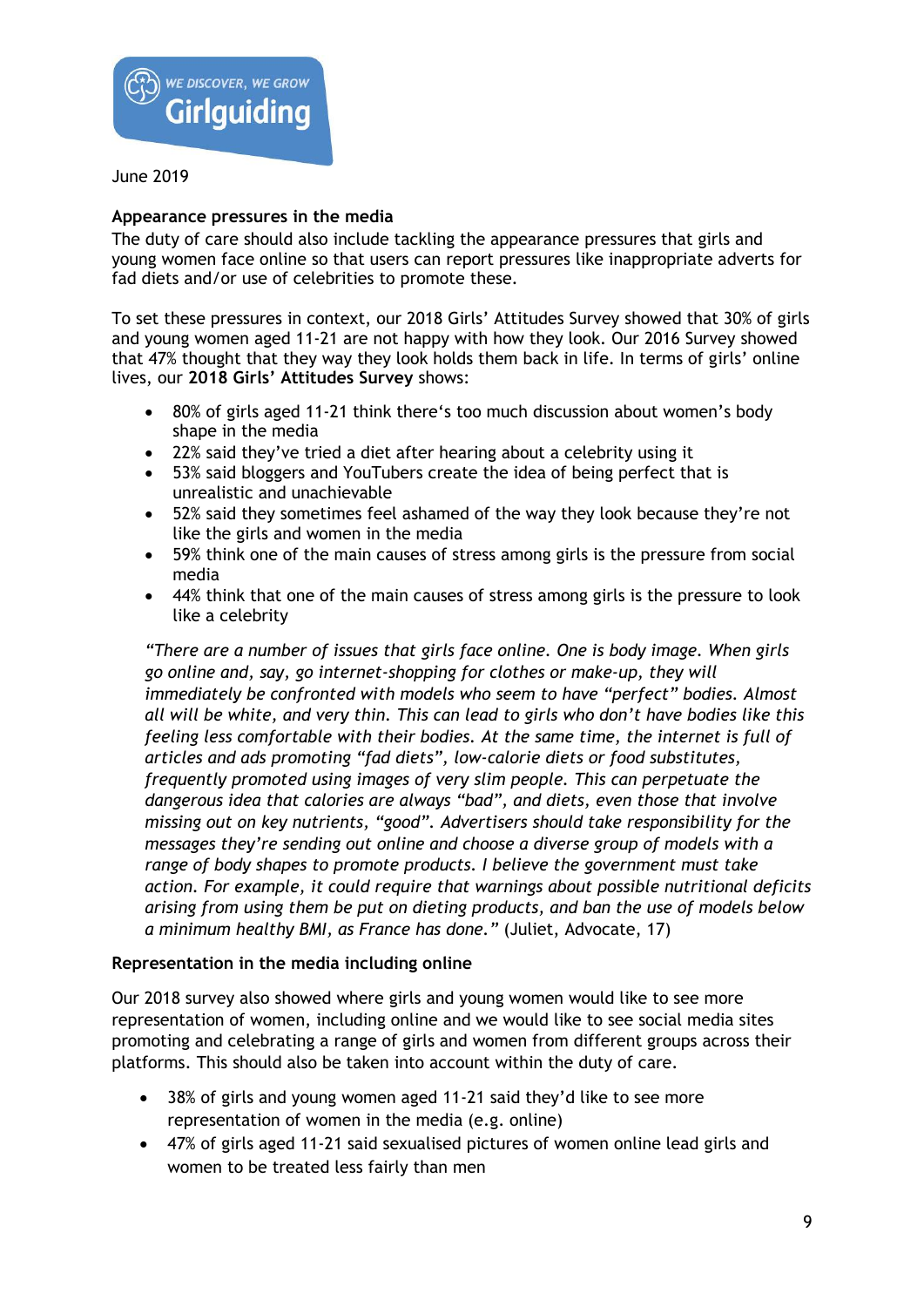

# **Appearance pressures in the media**

The duty of care should also include tackling the appearance pressures that girls and young women face online so that users can report pressures like inappropriate adverts for fad diets and/or use of celebrities to promote these.

To set these pressures in context, our 2018 Girls' Attitudes Survey showed that 30% of girls and young women aged 11-21 are not happy with how they look. Our 2016 Survey showed that 47% thought that they way they look holds them back in life. In terms of girls' online lives, our **2018 Girls' Attitudes Survey** shows:

- 80% of girls aged 11-21 think there's too much discussion about women's body shape in the media
- 22% said they've tried a diet after hearing about a celebrity using it
- 53% said bloggers and YouTubers create the idea of being perfect that is unrealistic and unachievable
- 52% said they sometimes feel ashamed of the way they look because they're not like the girls and women in the media
- 59% think one of the main causes of stress among girls is the pressure from social media
- 44% think that one of the main causes of stress among girls is the pressure to look like a celebrity

*"There are a number of issues that girls face online. One is body image. When girls go online and, say, go internet-shopping for clothes or make-up, they will immediately be confronted with models who seem to have "perfect" bodies. Almost all will be white, and very thin. This can lead to girls who don't have bodies like this feeling less comfortable with their bodies. At the same time, the internet is full of articles and ads promoting "fad diets", low-calorie diets or food substitutes, frequently promoted using images of very slim people. This can perpetuate the dangerous idea that calories are always "bad", and diets, even those that involve missing out on key nutrients, "good". Advertisers should take responsibility for the messages they're sending out online and choose a diverse group of models with a range of body shapes to promote products. I believe the government must take action. For example, it could require that warnings about possible nutritional deficits arising from using them be put on dieting products, and ban the use of models below a minimum healthy BMI, as France has done."* (Juliet, Advocate, 17)

## **Representation in the media including online**

Our 2018 survey also showed where girls and young women would like to see more representation of women, including online and we would like to see social media sites promoting and celebrating a range of girls and women from different groups across their platforms. This should also be taken into account within the duty of care.

- 38% of girls and young women aged 11-21 said they'd like to see more representation of women in the media (e.g. online)
- 47% of girls aged 11-21 said sexualised pictures of women online lead girls and women to be treated less fairly than men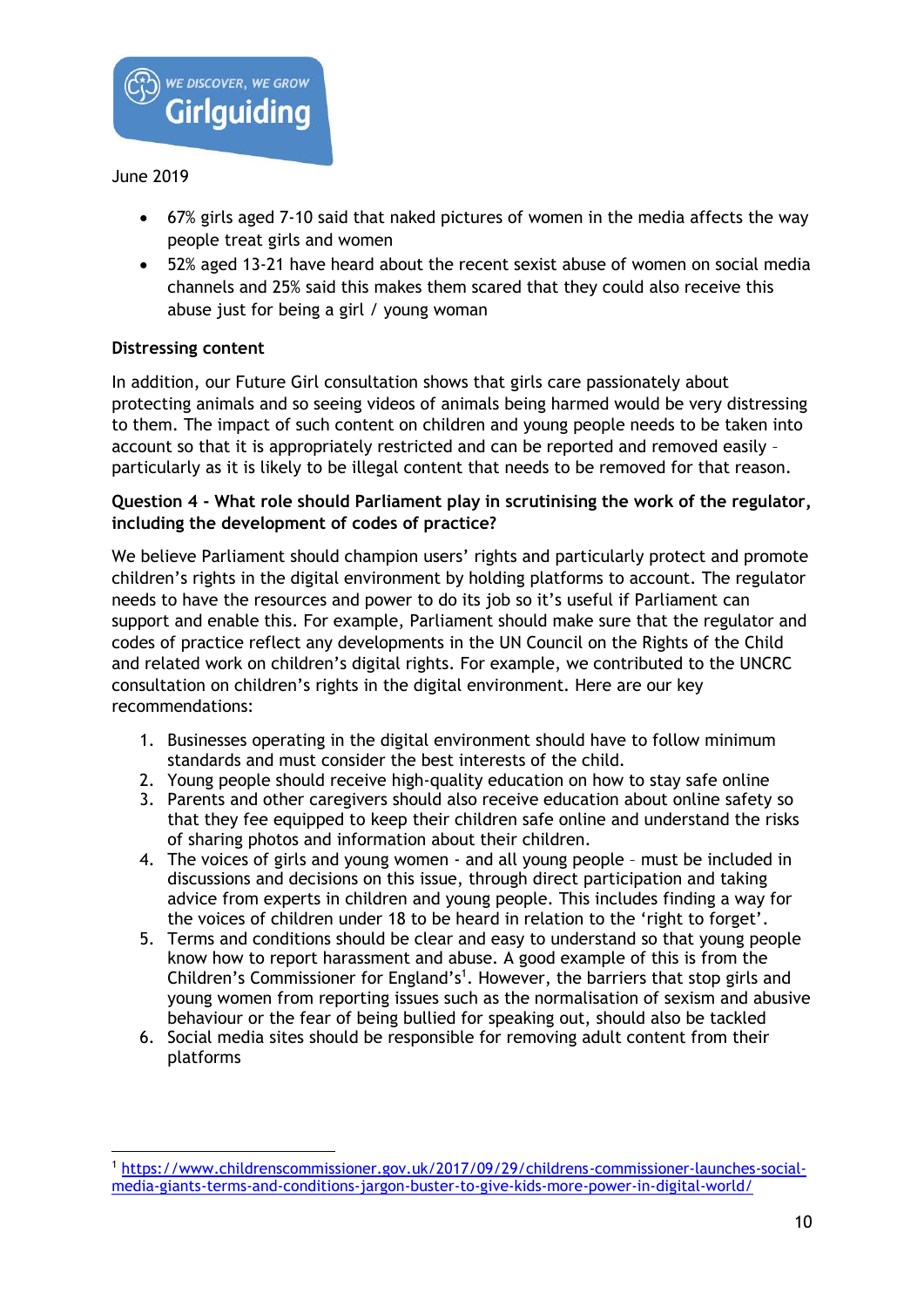

 $\overline{a}$ 

- 67% girls aged 7-10 said that naked pictures of women in the media affects the way people treat girls and women
- 52% aged 13-21 have heard about the recent sexist abuse of women on social media channels and 25% said this makes them scared that they could also receive this abuse just for being a girl / young woman

# **Distressing content**

In addition, our Future Girl consultation shows that girls care passionately about protecting animals and so seeing videos of animals being harmed would be very distressing to them. The impact of such content on children and young people needs to be taken into account so that it is appropriately restricted and can be reported and removed easily – particularly as it is likely to be illegal content that needs to be removed for that reason.

# **Question 4 - What role should Parliament play in scrutinising the work of the regulator, including the development of codes of practice?**

We believe Parliament should champion users' rights and particularly protect and promote children's rights in the digital environment by holding platforms to account. The regulator needs to have the resources and power to do its job so it's useful if Parliament can support and enable this. For example, Parliament should make sure that the regulator and codes of practice reflect any developments in the UN Council on the Rights of the Child and related work on children's digital rights. For example, we contributed to the UNCRC consultation on children's rights in the digital environment. Here are our key recommendations:

- 1. Businesses operating in the digital environment should have to follow minimum standards and must consider the best interests of the child.
- 2. Young people should receive high-quality education on how to stay safe online
- 3. Parents and other caregivers should also receive education about online safety so that they fee equipped to keep their children safe online and understand the risks of sharing photos and information about their children.
- 4. The voices of girls and young women and all young people must be included in discussions and decisions on this issue, through direct participation and taking advice from experts in children and young people. This includes finding a way for the voices of children under 18 to be heard in relation to the 'right to forget'.
- 5. Terms and conditions should be clear and easy to understand so that young people know how to report harassment and abuse. A good example of this is from the Children's Commissioner for England's<sup>1</sup>. However, the barriers that stop girls and young women from reporting issues such as the normalisation of sexism and abusive behaviour or the fear of being bullied for speaking out, should also be tackled
- 6. Social media sites should be responsible for removing adult content from their platforms

<sup>1</sup> [https://www.childrenscommissioner.gov.uk/2017/09/29/childrens-commissioner-launches-social](https://www.childrenscommissioner.gov.uk/2017/09/29/childrens-commissioner-launches-social-media-giants-terms-and-conditions-jargon-buster-to-give-kids-more-power-in-digital-world/)[media-giants-terms-and-conditions-jargon-buster-to-give-kids-more-power-in-digital-world/](https://www.childrenscommissioner.gov.uk/2017/09/29/childrens-commissioner-launches-social-media-giants-terms-and-conditions-jargon-buster-to-give-kids-more-power-in-digital-world/)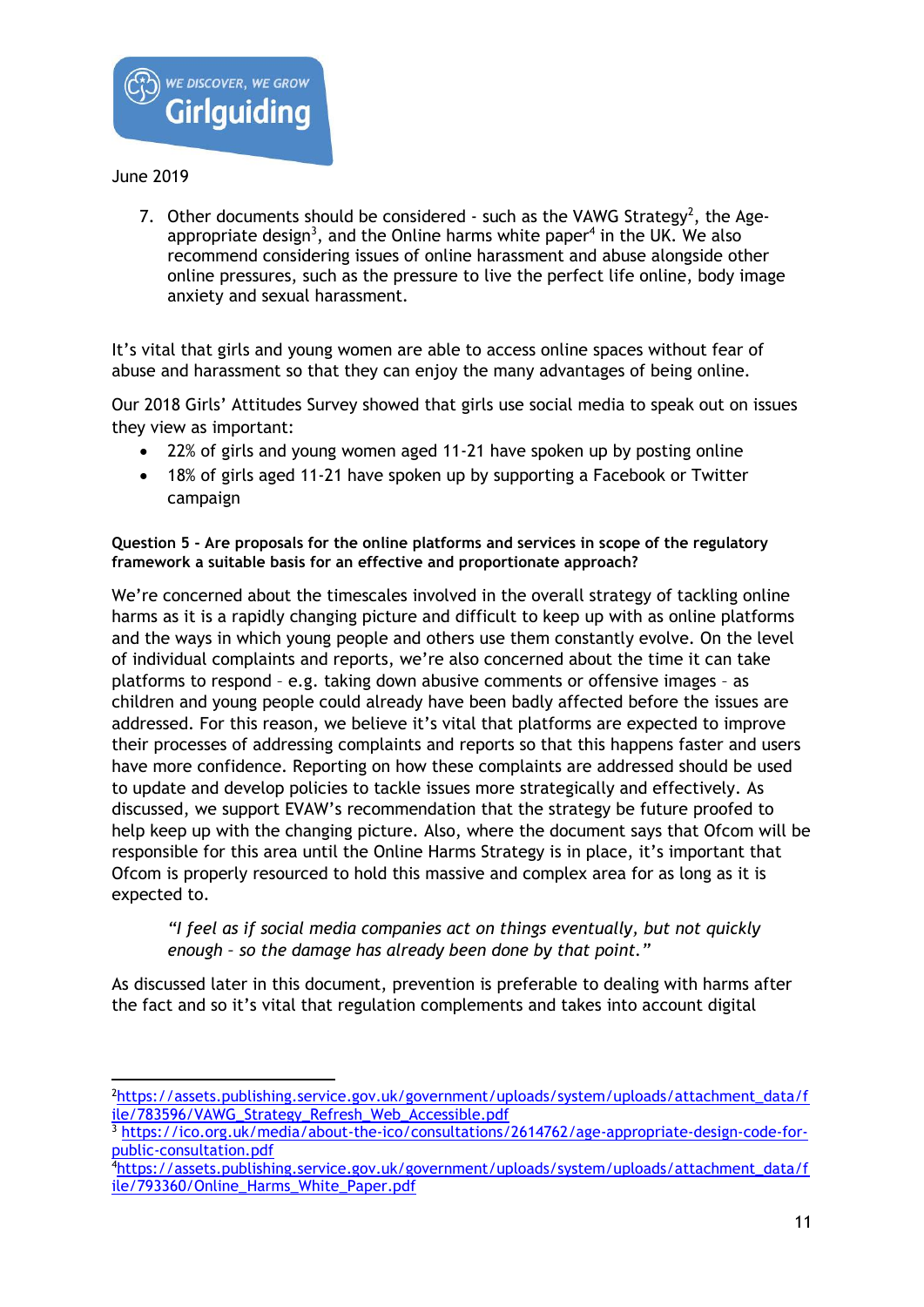

-

7. Other documents should be considered - such as the VAWG Strategy<sup>2</sup>, the Ageappropriate design<sup>3</sup>, and the Online harms white paper<sup>4</sup> in the UK. We also recommend considering issues of online harassment and abuse alongside other online pressures, such as the pressure to live the perfect life online, body image anxiety and sexual harassment.

It's vital that girls and young women are able to access online spaces without fear of abuse and harassment so that they can enjoy the many advantages of being online.

Our 2018 Girls' Attitudes Survey showed that girls use social media to speak out on issues they view as important:

- 22% of girls and young women aged 11-21 have spoken up by posting online
- 18% of girls aged 11-21 have spoken up by supporting a Facebook or Twitter campaign

## **Question 5 - Are proposals for the online platforms and services in scope of the regulatory framework a suitable basis for an effective and proportionate approach?**

We're concerned about the timescales involved in the overall strategy of tackling online harms as it is a rapidly changing picture and difficult to keep up with as online platforms and the ways in which young people and others use them constantly evolve. On the level of individual complaints and reports, we're also concerned about the time it can take platforms to respond – e.g. taking down abusive comments or offensive images – as children and young people could already have been badly affected before the issues are addressed. For this reason, we believe it's vital that platforms are expected to improve their processes of addressing complaints and reports so that this happens faster and users have more confidence. Reporting on how these complaints are addressed should be used to update and develop policies to tackle issues more strategically and effectively. As discussed, we support EVAW's recommendation that the strategy be future proofed to help keep up with the changing picture. Also, where the document says that Ofcom will be responsible for this area until the Online Harms Strategy is in place, it's important that Ofcom is properly resourced to hold this massive and complex area for as long as it is expected to.

*"I feel as if social media companies act on things eventually, but not quickly enough – so the damage has already been done by that point."*

As discussed later in this document, prevention is preferable to dealing with harms after the fact and so it's vital that regulation complements and takes into account digital

<sup>&</sup>lt;sup>2</sup>[https://assets.publishing.service.gov.uk/government/uploads/system/uploads/attachment\\_data/f](https://assets.publishing.service.gov.uk/government/uploads/system/uploads/attachment_data/file/783596/VAWG_Strategy_Refresh_Web_Accessible.pdf) ile/783596/VAWG Strategy Refresh Web Accessible.pdf

<sup>3</sup> [https://ico.org.uk/media/about-the-ico/consultations/2614762/age-appropriate-design-code-for](https://ico.org.uk/media/about-the-ico/consultations/2614762/age-appropriate-design-code-for-public-consultation.pdf)[public-consultation.pdf](https://ico.org.uk/media/about-the-ico/consultations/2614762/age-appropriate-design-code-for-public-consultation.pdf)

<sup>4</sup>[https://assets.publishing.service.gov.uk/government/uploads/system/uploads/attachment\\_data/f](https://assets.publishing.service.gov.uk/government/uploads/system/uploads/attachment_data/file/793360/Online_Harms_White_Paper.pdf) [ile/793360/Online\\_Harms\\_White\\_Paper.pdf](https://assets.publishing.service.gov.uk/government/uploads/system/uploads/attachment_data/file/793360/Online_Harms_White_Paper.pdf)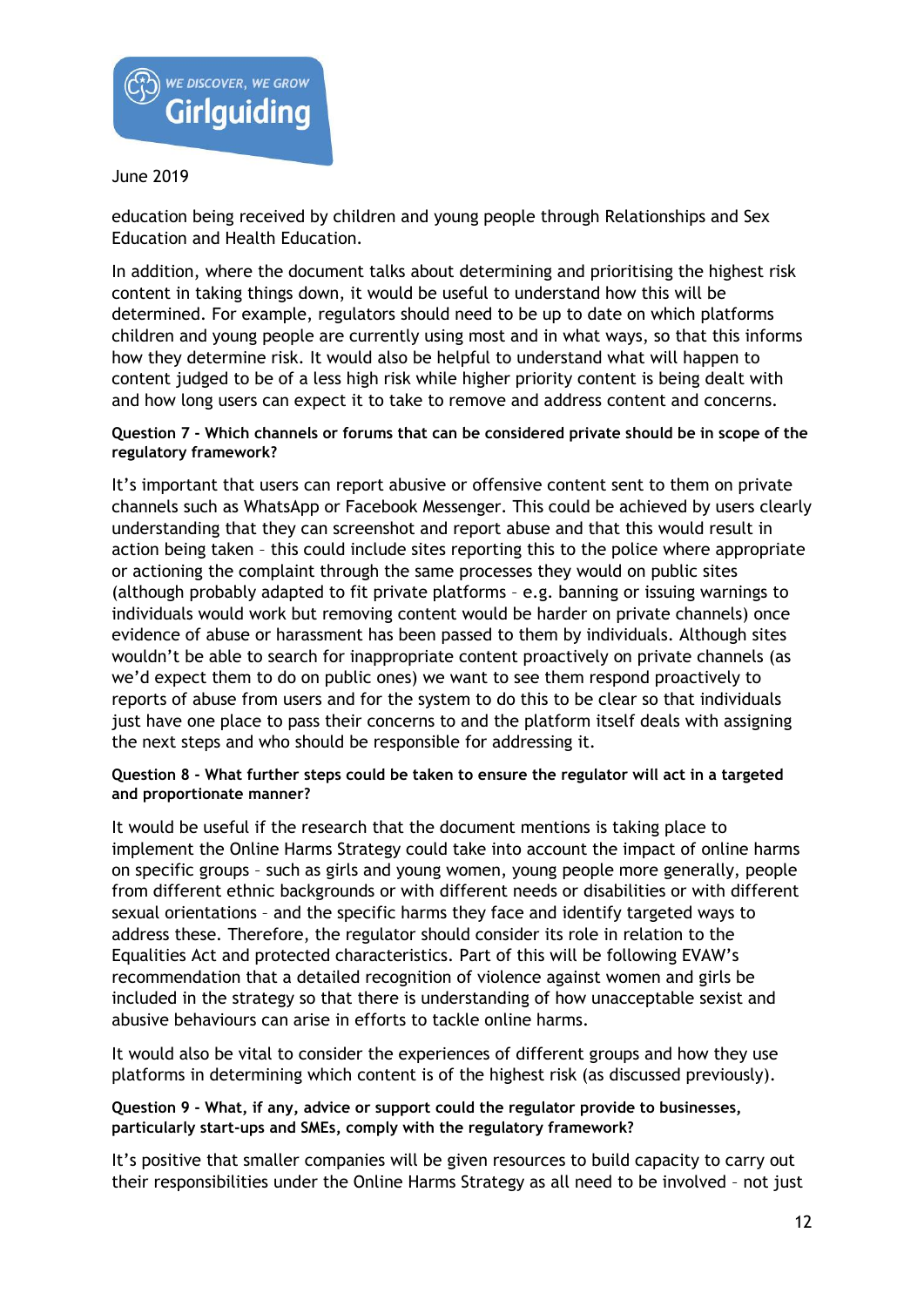

education being received by children and young people through Relationships and Sex Education and Health Education.

In addition, where the document talks about determining and prioritising the highest risk content in taking things down, it would be useful to understand how this will be determined. For example, regulators should need to be up to date on which platforms children and young people are currently using most and in what ways, so that this informs how they determine risk. It would also be helpful to understand what will happen to content judged to be of a less high risk while higher priority content is being dealt with and how long users can expect it to take to remove and address content and concerns.

## **Question 7 - Which channels or forums that can be considered private should be in scope of the regulatory framework?**

It's important that users can report abusive or offensive content sent to them on private channels such as WhatsApp or Facebook Messenger. This could be achieved by users clearly understanding that they can screenshot and report abuse and that this would result in action being taken – this could include sites reporting this to the police where appropriate or actioning the complaint through the same processes they would on public sites (although probably adapted to fit private platforms – e.g. banning or issuing warnings to individuals would work but removing content would be harder on private channels) once evidence of abuse or harassment has been passed to them by individuals. Although sites wouldn't be able to search for inappropriate content proactively on private channels (as we'd expect them to do on public ones) we want to see them respond proactively to reports of abuse from users and for the system to do this to be clear so that individuals just have one place to pass their concerns to and the platform itself deals with assigning the next steps and who should be responsible for addressing it.

### **Question 8 - What further steps could be taken to ensure the regulator will act in a targeted and proportionate manner?**

It would be useful if the research that the document mentions is taking place to implement the Online Harms Strategy could take into account the impact of online harms on specific groups – such as girls and young women, young people more generally, people from different ethnic backgrounds or with different needs or disabilities or with different sexual orientations – and the specific harms they face and identify targeted ways to address these. Therefore, the regulator should consider its role in relation to the Equalities Act and protected characteristics. Part of this will be following EVAW's recommendation that a detailed recognition of violence against women and girls be included in the strategy so that there is understanding of how unacceptable sexist and abusive behaviours can arise in efforts to tackle online harms.

It would also be vital to consider the experiences of different groups and how they use platforms in determining which content is of the highest risk (as discussed previously).

### **Question 9 - What, if any, advice or support could the regulator provide to businesses, particularly start-ups and SMEs, comply with the regulatory framework?**

It's positive that smaller companies will be given resources to build capacity to carry out their responsibilities under the Online Harms Strategy as all need to be involved – not just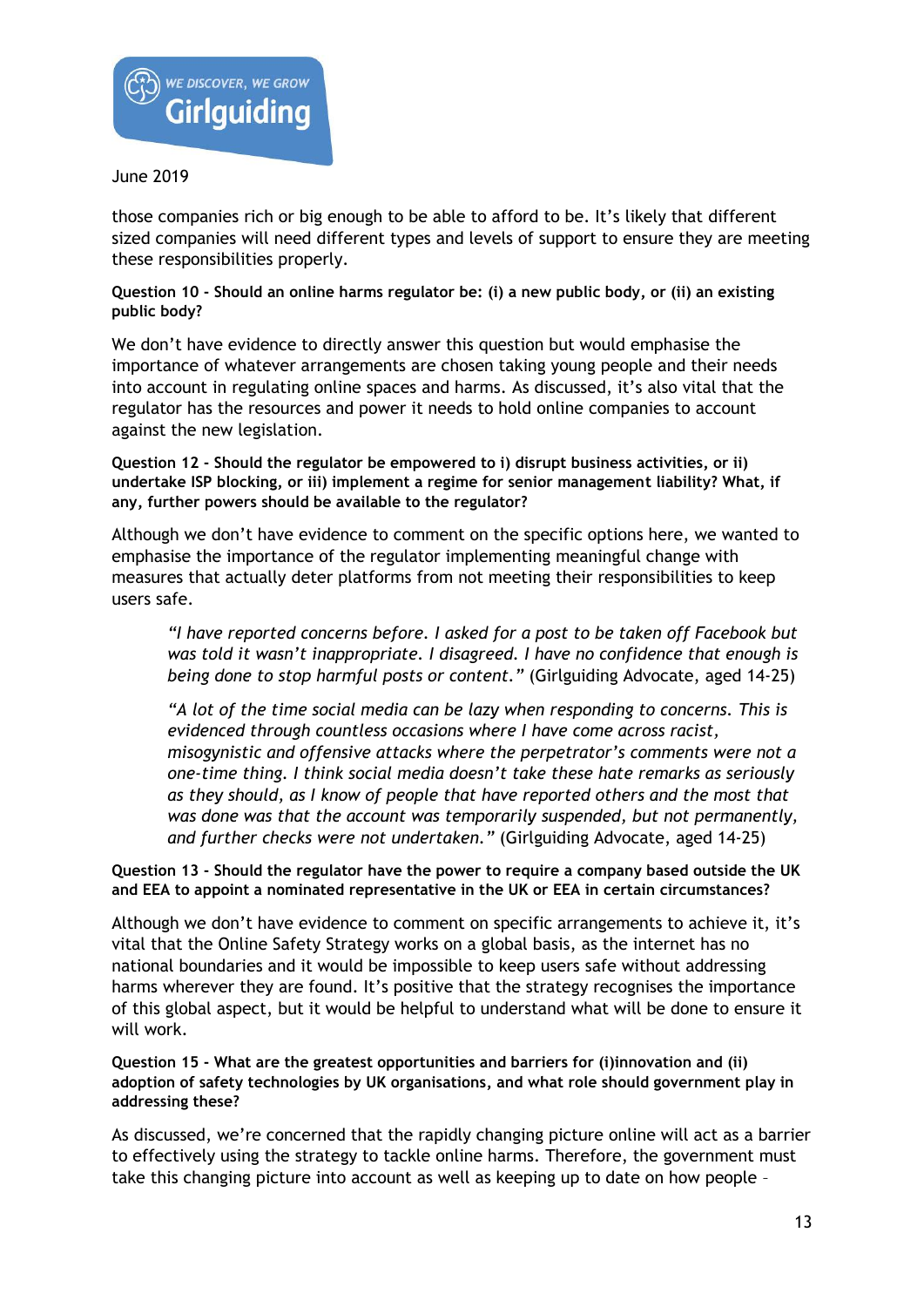

those companies rich or big enough to be able to afford to be. It's likely that different sized companies will need different types and levels of support to ensure they are meeting these responsibilities properly.

### **Question 10 - Should an online harms regulator be: (i) a new public body, or (ii) an existing public body?**

We don't have evidence to directly answer this question but would emphasise the importance of whatever arrangements are chosen taking young people and their needs into account in regulating online spaces and harms. As discussed, it's also vital that the regulator has the resources and power it needs to hold online companies to account against the new legislation.

**Question 12 - Should the regulator be empowered to i) disrupt business activities, or ii) undertake ISP blocking, or iii) implement a regime for senior management liability? What, if any, further powers should be available to the regulator?**

Although we don't have evidence to comment on the specific options here, we wanted to emphasise the importance of the regulator implementing meaningful change with measures that actually deter platforms from not meeting their responsibilities to keep users safe.

*"I have reported concerns before. I asked for a post to be taken off Facebook but was told it wasn't inappropriate. I disagreed. I have no confidence that enough is being done to stop harmful posts or content."* (Girlguiding Advocate, aged 14-25)

*"A lot of the time social media can be lazy when responding to concerns. This is evidenced through countless occasions where I have come across racist, misogynistic and offensive attacks where the perpetrator's comments were not a one-time thing. I think social media doesn't take these hate remarks as seriously as they should, as I know of people that have reported others and the most that was done was that the account was temporarily suspended, but not permanently, and further checks were not undertaken."* (Girlguiding Advocate, aged 14-25)

### **Question 13 - Should the regulator have the power to require a company based outside the UK and EEA to appoint a nominated representative in the UK or EEA in certain circumstances?**

Although we don't have evidence to comment on specific arrangements to achieve it, it's vital that the Online Safety Strategy works on a global basis, as the internet has no national boundaries and it would be impossible to keep users safe without addressing harms wherever they are found. It's positive that the strategy recognises the importance of this global aspect, but it would be helpful to understand what will be done to ensure it will work.

#### **Question 15 - What are the greatest opportunities and barriers for (i)innovation and (ii) adoption of safety technologies by UK organisations, and what role should government play in addressing these?**

As discussed, we're concerned that the rapidly changing picture online will act as a barrier to effectively using the strategy to tackle online harms. Therefore, the government must take this changing picture into account as well as keeping up to date on how people –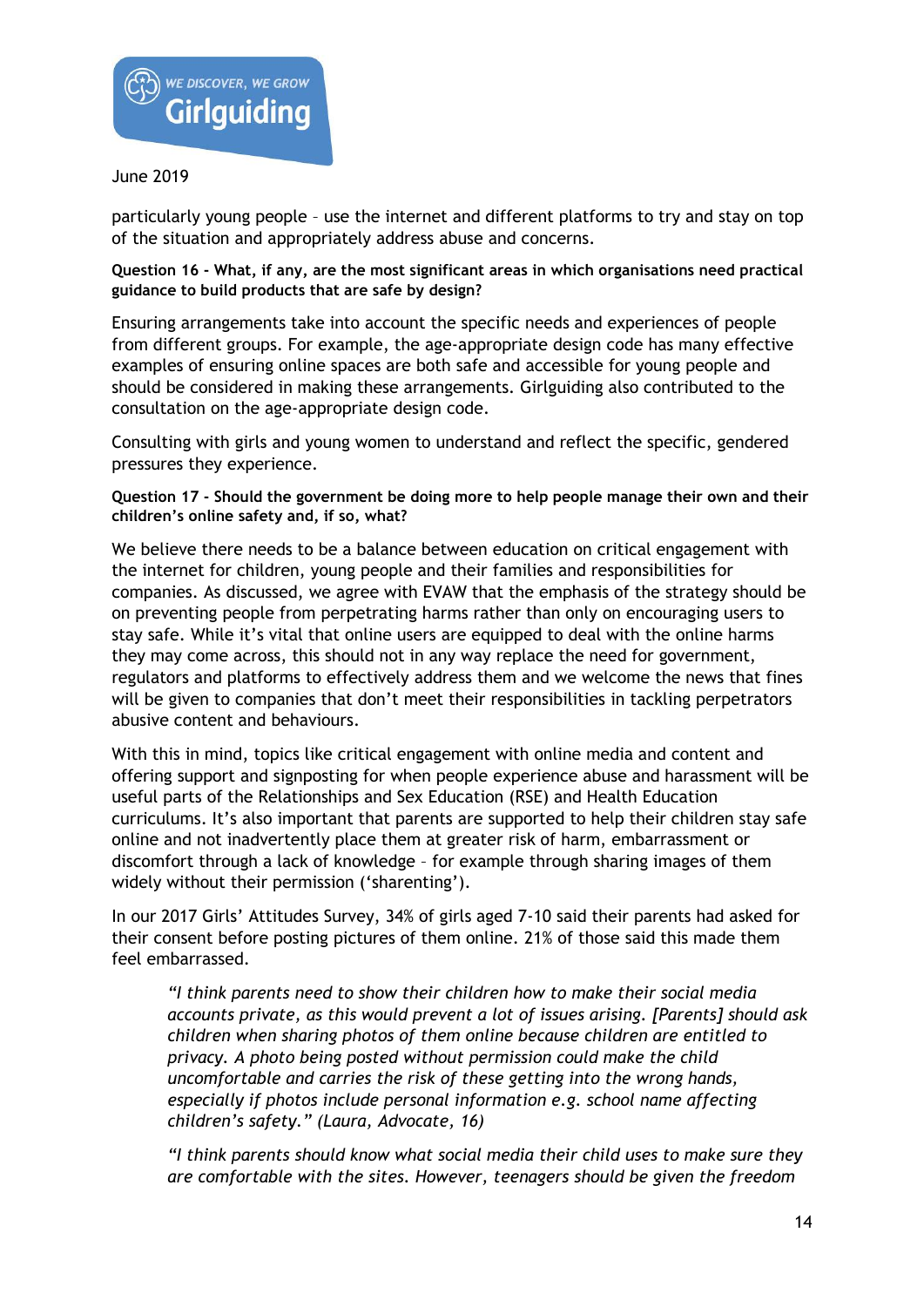

particularly young people – use the internet and different platforms to try and stay on top of the situation and appropriately address abuse and concerns.

## **Question 16 - What, if any, are the most significant areas in which organisations need practical guidance to build products that are safe by design?**

Ensuring arrangements take into account the specific needs and experiences of people from different groups. For example, the age-appropriate design code has many effective examples of ensuring online spaces are both safe and accessible for young people and should be considered in making these arrangements. Girlguiding also contributed to the consultation on the age-appropriate design code.

Consulting with girls and young women to understand and reflect the specific, gendered pressures they experience.

**Question 17 - Should the government be doing more to help people manage their own and their children's online safety and, if so, what?**

We believe there needs to be a balance between education on critical engagement with the internet for children, young people and their families and responsibilities for companies. As discussed, we agree with EVAW that the emphasis of the strategy should be on preventing people from perpetrating harms rather than only on encouraging users to stay safe. While it's vital that online users are equipped to deal with the online harms they may come across, this should not in any way replace the need for government, regulators and platforms to effectively address them and we welcome the news that fines will be given to companies that don't meet their responsibilities in tackling perpetrators abusive content and behaviours.

With this in mind, topics like critical engagement with online media and content and offering support and signposting for when people experience abuse and harassment will be useful parts of the Relationships and Sex Education (RSE) and Health Education curriculums. It's also important that parents are supported to help their children stay safe online and not inadvertently place them at greater risk of harm, embarrassment or discomfort through a lack of knowledge – for example through sharing images of them widely without their permission ('sharenting').

In our 2017 Girls' Attitudes Survey, 34% of girls aged 7-10 said their parents had asked for their consent before posting pictures of them online. 21% of those said this made them feel embarrassed.

*"I think parents need to show their children how to make their social media accounts private, as this would prevent a lot of issues arising. [Parents] should ask children when sharing photos of them online because children are entitled to privacy. A photo being posted without permission could make the child uncomfortable and carries the risk of these getting into the wrong hands, especially if photos include personal information e.g. school name affecting children's safety." (Laura, Advocate, 16)*

*"I think parents should know what social media their child uses to make sure they are comfortable with the sites. However, teenagers should be given the freedom*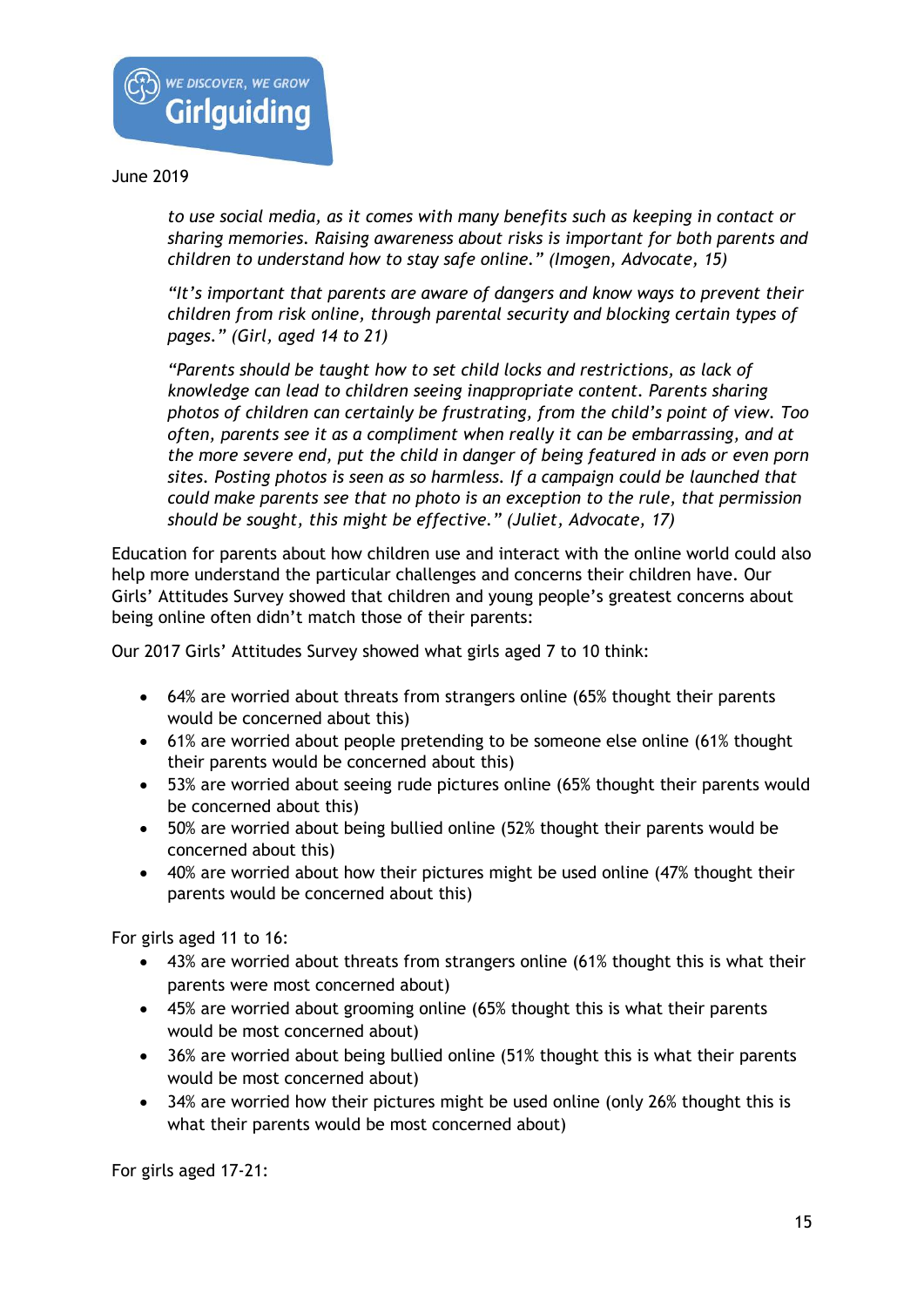

*to use social media, as it comes with many benefits such as keeping in contact or sharing memories. Raising awareness about risks is important for both parents and children to understand how to stay safe online." (Imogen, Advocate, 15)*

*"It's important that parents are aware of dangers and know ways to prevent their children from risk online, through parental security and blocking certain types of pages." (Girl, aged 14 to 21)*

*"Parents should be taught how to set child locks and restrictions, as lack of knowledge can lead to children seeing inappropriate content. Parents sharing photos of children can certainly be frustrating, from the child's point of view. Too often, parents see it as a compliment when really it can be embarrassing, and at the more severe end, put the child in danger of being featured in ads or even porn sites. Posting photos is seen as so harmless. If a campaign could be launched that could make parents see that no photo is an exception to the rule, that permission should be sought, this might be effective." (Juliet, Advocate, 17)*

Education for parents about how children use and interact with the online world could also help more understand the particular challenges and concerns their children have. Our Girls' Attitudes Survey showed that children and young people's greatest concerns about being online often didn't match those of their parents:

Our 2017 Girls' Attitudes Survey showed what girls aged 7 to 10 think:

- 64% are worried about threats from strangers online (65% thought their parents would be concerned about this)
- 61% are worried about people pretending to be someone else online (61% thought their parents would be concerned about this)
- 53% are worried about seeing rude pictures online (65% thought their parents would be concerned about this)
- 50% are worried about being bullied online (52% thought their parents would be concerned about this)
- 40% are worried about how their pictures might be used online (47% thought their parents would be concerned about this)

For girls aged 11 to 16:

- 43% are worried about threats from strangers online (61% thought this is what their parents were most concerned about)
- 45% are worried about grooming online (65% thought this is what their parents would be most concerned about)
- 36% are worried about being bullied online (51% thought this is what their parents would be most concerned about)
- 34% are worried how their pictures might be used online (only 26% thought this is what their parents would be most concerned about)

For girls aged 17-21: